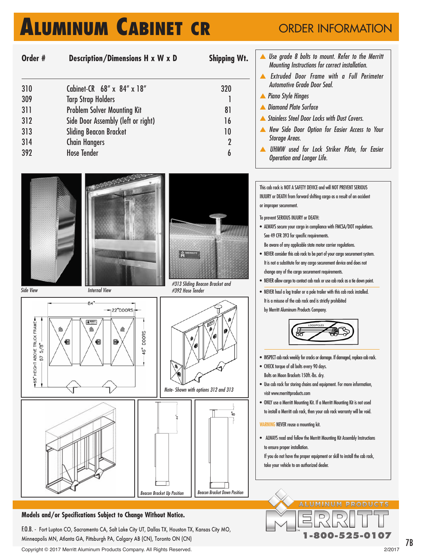## **ALUMINUM CABINET CR**

## ORDER INFORMATION

| Order # | Description/Dimensions H x W x D   | <b>Shipping Wt.</b> |
|---------|------------------------------------|---------------------|
| 310     | Cabinet-CR 68" x 84" x 18"         | 320                 |
| 309     | <b>Tarp Strap Holders</b>          |                     |
| 311     | <b>Problem Solver Mounting Kit</b> | 81                  |
| 312     | Side Door Assembly (left or right) | 16                  |
| 313     | <b>Sliding Beacon Bracket</b>      | 10                  |
| 314     | <b>Chain Hangers</b>               | $\overline{2}$      |
| 392     | <b>Hose Tender</b>                 | 6                   |

 Use grade 8 bolts to mount. Refer to the Merritt Mounting Instructions for correct installation.

- **A** Extruded Door Frame with a Full Perimeter Automotive Grade Door Seal.
- **A** Piano Style Hinges

or improper securement.

To prevent SERIOUS INJURY or DEATH:

See 49 CFR 393 for specific requirements.

- **A** Diamond Plate Surface
- **Stainless Steel Door Locks with Dust Covers.**
- **A** New Side Door Option for Easier Access to Your Storage Areas.
- **A UHMW** used for Lock Striker Plate, for Easier Operation and Longer Life.

This cab rack is NOT A SAFETY DEVICE and will NOT PREVENT SERIOUS INJURY or DEATH from forward shifting cargo as a result of an accident

• ALWAYS secure your cargo in compliance with FMCSA/DOT regulations.

• NEVER allow cargo to contact cab rack or use cab rack as a tie down point. • NEVER haul a log trailer or a pole trailer with this cab rack installed. It is a misuse of the cab rack and is strictly prohibited by Merritt Aluminum Products Company.

• INSPECT cab rack weekly for cracks or damage. If damaged, replace cab rack.

• Use cab rack for storing chains and equipment. For more information,

• ONLY use a Merritt Mounting Kit. If a Merritt Mounting Kit is not used to install a Merritt cab rack, then your cab rack warranty will be void.

• ALWAYS read and follow the Merritt Mounting Kit Assembly Instructions

If you do not have the proper equipment or skill to install the cab rack,

• CHECK torque of all bolts every 90 days. Bolts on Moon Brackets 150ft.-lbs. dry.

visit www.merrittproducts.com

WARNING NEVER reuse a mounting kit.

to ensure proper installation.

take your vehicle to an authorized dealer.

Be aware of any applicable state motor carrier regulations. • NEVER consider this cab rack to be part of your cargo securement system. It is not a substitute for any cargo securement device and does not

change any of the cargo securement requirements.

HEIGHT ABOVE TRUCK FRAME-

 $-68"$ 

 $5/8$ 

67



 $-22"DOORS:$ 

ß

**DOORS** 

i 91

 $84$ 

 $A<sup>mm</sup>$ 

€



#392 Hose Tender



Note- Shown with options 312 and 313



Beacon Bracket IIn Position Beacon Bracket Down Position

### **Models and/or Specifications Subject to Change Without Notice.**

F.O.B. - Fort Lupton CO, Sacramento CA, Salt Lake City UT, Dallas TX, Houston TX, Kansas City MO, Minneapolis MN, Atlanta GA, Pittsburgh PA, Calgary AB (CN), Toronto ON (CN)

Copyright © 2017 Merritt Aluminum Products Company. All Rights Reserved. 2/2017

**1-800-525-0107**